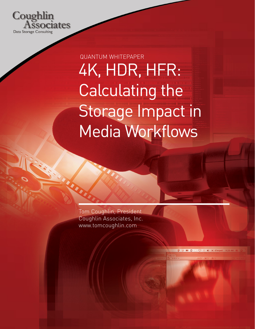

4K, HDR, HFR: Calculating the Storage Impact in Media Workflows QUANTUM WHITEPAPER

 $\left| \bullet \right|$  (Charged)

 $\blacksquare$   $\Omega$ 

Tom Coughlin, President Coughlin Associates, Inc. www.tomcoughlin.com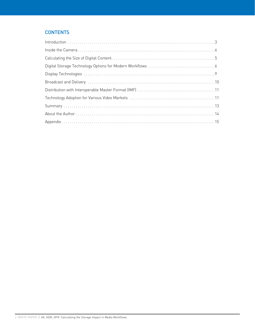# **CONTENTS**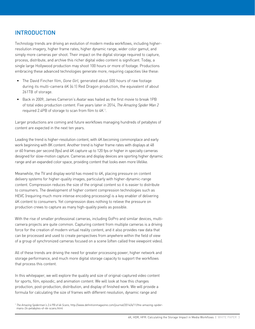# INTRODUCTION

Technology trends are driving an evolution of modern media workflows, including higherresolution imagery, higher frame rates, higher dynamic range, wider color gamut, and simply more cameras per shoot. Their impact on the digital storage required to capture, process, distribute, and archive this richer digital video content is significant. Today, a single large Hollywood production may shoot 100 hours or more of footage. Productions embracing these advanced technologies generate more, requiring capacities like these:

- The David Fincher film, *Gone Girl,* generated about 500 hours of raw footage during its multi-camera 6K (4:1) Red Dragon production, the equivalent of about 261TB of storage.
- Back in 2009, James Cameron's *Avatar* was hailed as the first movie to break 1PB of total video production content. Five years later in 2014, *The Amazing Spider Man 2* required 2.4PB of storage to scan from film to  $4K<sup>1</sup>$ .

Larger productions are coming and future workflows managing hundreds of petabytes of content are expected in the next ten years.

Leading the trend is higher-resolution content, with 4K becoming commonplace and early work beginning with 8K content. Another trend is higher frame rates with displays at 48 or 60 frames per second (fps) and 4K capture up to 120 fps or higher in specialty cameras designed for slow-motion capture. Cameras and display devices are sporting higher dynamic range and an expanded color space, providing content that looks even more lifelike.

Meanwhile, the TV and display world has moved to 4K, placing pressure on content delivery systems for higher-quality images, particularly with higher-dynamic-range content. Compression reduces the size of the original content so it is easier to distribute to consumers. The development of higher content compression technologies such as HEVC (requiring much more intense encoding processing) is a key enabler of delivering 4K content to consumers. Yet compression does nothing to relieve the pressure on production crews to capture as many high-quality pixels as possible.

With the rise of smaller professional cameras, including GoPro and similar devices, multicamera projects are quite common. Capturing content from multiple cameras is a driving force for the creation of modern virtual reality content, and it also provides raw data that can be processed and used to create perspectives from anywhere within the field of view of a group of synchronized cameras focused on a scene (often called free viewpoint video).

All of these trends are driving the need for greater processing power, higher network and storage performance, and much more digital storage capacity to support the workflows that process this content.

In this whitepaper, we will explore the quality and size of original-captured video content for sports, film, episodic, and animation content. We will look at how this changes production, post-production, distribution, and display of finished work. We will provide a formula for calculating the size of frames with different resolution, dynamic range and

<sup>1</sup> *The Amazing Spiderman's 2.4 PB of 4k Scans,* http://www.definitionmagazine.com/journal/2014/6/11/the-amazing-spidermans-24-petabytes-of-4k-scans.html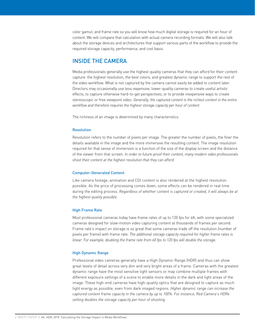color gamut, and frame rate so you will know how much digital storage is required for an hour of content. We will compare that calculation with actual camera recording formats. We will also talk about the storage devices and architectures that support various parts of the workflow to provide the required storage capacity, performance, and cost basis.

# INSIDE THE CAMERA

Media professionals generally use the highest-quality cameras that they can afford for their content capture: the highest resolution, the best colors, and greatest dynamic range to support the rest of the video workflow. What is not captured by the camera cannot easily be added to content later. Directors may occasionally use less-expensive, lower-quality cameras to create useful artistic effects, to capture otherwise hard-to-get perspectives, or to provide inexpensive ways to create stereoscopic or free viewpoint video. *Generally, the captured content is the richest content in the entire workflow and therefore requires the highest storage capacity per hour of content.*

The richness of an image is determined by many characteristics.

### Resolution

Resolution refers to the number of pixels per image. The greater the number of pixels, the finer the details available in the image and the more immersive the resulting content. The image resolution required for that sense of immersion is a function of the size of the display screen and the distance of the viewer from that screen. *In order to future-proof their content, many modern video professionals shoot their content at the highest resolution that they can afford.*

#### Computer-Generated Content

Like camera footage, animation and CGI content is also rendered at the highest resolution possible. As the price of processing comes down, some effects can be rendered in real time during the editing process. *Regardless of whether content is captured or created, it will always be at the highest quality possible.*

#### High Frame Rate

Most professional cameras today have frame rates of up to 120 fps for 4K, with some specialized cameras designed for slow-motion video capturing content at thousands of frames per second. Frame rate's impact on storage is so great that some cameras trade off the resolution (number of pixels per frame) with frame rate. *The additional storage capacity required for higher frame rates is linear. For example, doubling the frame rate from 60 fps to 120 fps will double the storage.*

#### High Dynamic Range

Professional video cameras generally have a High Dynamic Range (HDR) and thus can show great levels of detail across very dim and very bright areas of a frame. Cameras with the greatest dynamic range have the most sensitive light sensors or may combine multiple frames with different exposure settings of a scene to enable more details in the dark and light areas of the image. These high-end cameras have high-quality optics that are designed to capture as much light energy as possible, even from dark imaged regions. *Higher dynamic range can increase the captured content frame capacity in the camera by up to 100%. For instance, Red Camera's HDRx setting doubles the storage capacity per hour of shooting.*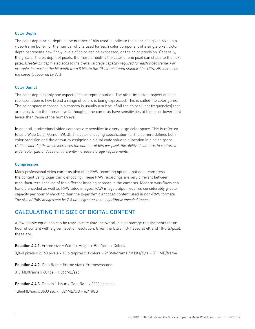## Color Depth

The color depth or bit depth is the number of bits used to indicate the color of a given pixel in a video frame buffer, or the number of bits used for each color component of a single pixel. Color depth represents how finely levels of color can be expressed, or the color precision. Generally, the greater the bit depth of pixels, the more smoothly the color of one pixel can shade to the next pixel. *Greater bit depth also adds to the overall storage capacity required for each video frame. For example, increasing the bit depth from 8 bits to the 10-bit minimum standard for Ultra HD increases the capacity required by 25%.*

### Color Gamut

The color depth is only one aspect of color representation. The other important aspect of color representation is how broad a range of colors is being expressed. This is called the color gamut. The color space recorded in a camera is usually a subset of all the colors (light frequencies) that are sensitive to the human eye (although some cameras have sensitivities at higher or lower light levels than those of the human eye).

In general, professional video cameras are sensitive to a very large color space. This is referred to as a Wide Color Gamut (WCG). The color encoding specification for the camera defines both color precision and the gamut by assigning a digital code value to a location in a color space. *Unlike color depth, which increases the number of bits per pixel, the ability of cameras to capture a wider color gamut does not inherently increase storage requirements.*

#### **Compression**

Many professional video cameras also offer RAW recording options that don't compress the content using logarithmic encoding. These RAW recordings are very different between manufacturers because of the different imaging sensors in the cameras. Modern workflows can handle encoded as well as RAW video images. RAW image output requires considerably greater capacity per hour of shooting than the logarithmic encoded content used in non-RAW formats. *The size of RAW images can be 2-3 times greater than logarithmic encoded images.*

## CALCULATING THE SIZE OF DIGITAL CONTENT

A few simple equations can be used to calculate the overall digital storage requirements for an hour of content with a given level of resolution. Given the Ultra HD-1 spec at 4K and 10-bits/pixel, these are:

Equation 4.4.1. Frame size = Width x Height x Bits/pixel x Colors

3,840 pixels x 2,160 pixels x 10 bits/pixel x 3 colors = 248Mb/frame / 8 bits/byte = 31.1MB/frame

Equation 4.4.2. Data Rate = Frame size x Frames/second

31.1MB/frame x 60 fps = 1,866MB/sec

**Equation 4.4.3.** Data in 1 Hour = Data Rate x 3600 seconds

1,866MB/sec x 3600 sec x 1024MB/GB = 6,718GB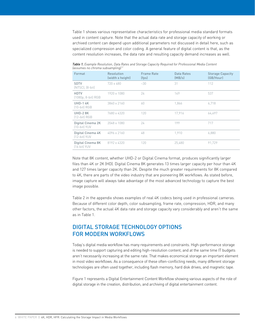Table 1 shows various representative characteristics for professional media standard formats used in content capture. Note that the actual data rate and storage capacity of working or archived content can depend upon additional parameters not discussed in detail here, such as specialized compression and color coding. A general feature of digital content is that, as the content resolution increases, the data rate and resulting capacity demand increases as well.

| abbanneb no em onna babbannpung)    |                                |                            |                      |                                      |  |  |  |
|-------------------------------------|--------------------------------|----------------------------|----------------------|--------------------------------------|--|--|--|
| Format                              | Resolution<br>(width x height) | <b>Frame Rate</b><br>(fps) | Data Rates<br>(MB/s) | <b>Storage Capacity</b><br>(GB/Hour) |  |  |  |
| <b>SDTV</b><br>$(NTSC)$ , $(8-bit)$ | 720 x 480                      | $-30$                      | 31                   | 112                                  |  |  |  |
| <b>HDTV</b><br>(1080p, 8-bit) RGB   | 1920 x 1080                    | 24                         | 149                  | 537                                  |  |  |  |
| <b>UHD-14K</b><br>$(10-bit)$ RGB    | 3840 x 2160                    | 60                         | 1,866                | 6.718                                |  |  |  |
| <b>UHD-28K</b><br>$[12-bit]$ RGB    | 7680 x 4320                    | 120                        | 17,916               | 64,497                               |  |  |  |
| Digital Cinema 2K<br>[10-bit] YUV   | 2048 x 1080                    | 24                         | 199                  | 717                                  |  |  |  |
| Digital Cinema 4K<br>[12-bit] YUV   | 4096 x 2160                    | 48                         | 1.910                | 6.880                                |  |  |  |
| Digital Cinema 8K<br>[16 bit] YUV   | 8192 x 4320                    | 120                        | 25,480               | 91,729                               |  |  |  |

*Table 1. Example Resolution, Data Rates and Storage Capacity Required for Professional Media Content (assumes no chroma subsampling) 2*

Note that 8K content, whether UHD-2 or Digital Cinema format, produces significantly larger files than 4K or 2K (HD). Digital Cinema 8K generates 13 times larger capacity per hour than 4K and 127 times larger capacity than 2K. Despite the much greater requirements for 8K compared to 4K, there are parts of the video industry that are pioneering 8K workflows. As stated before, image capture will always take advantage of the most advanced technology to capture the best image possible.

Table 2 in the appendix shows examples of real 4K codecs being used in professional cameras. Because of different color depth, color subsampling, frame rate, compression, HDR, and many other factors, the actual 4K data rate and storage capacity vary considerably and aren't the same as in Table 1.

# DIGITAL STORAGE TECHNOLOGY OPTIONS FOR MODERN WORKFLOWS

Today's digital media workflow has many requirements and constraints. High-performance storage is needed to support capturing and editing high-resolution content, and at the same time IT budgets aren't necessarily increasing at the same rate. That makes economical storage an important element in most video workflows. As a consequence of these often-conflicting needs, many different storage technologies are often used together, including flash memory, hard disk drives, and magnetic tape.

Figure 1 represents a Digital Entertainment Content Workflow showing various aspects of the role of digital storage in the creation, distribution, and archiving of digital entertainment content.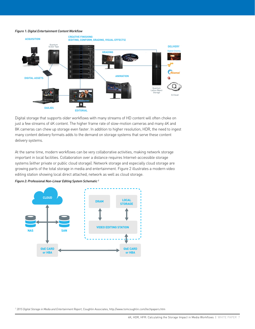#### *Figure 1: Digital Entertainment Content Workflow*



Digital storage that supports older workflows with many streams of HD content will often choke on just a few streams of 4K content. The higher frame rate of slow-motion cameras and many 4K and 8K cameras can chew up storage even faster. In addition to higher resolution, HDR, the need to ingest many content delivery formats adds to the demand on storage systems that serve these content delivery systems.

At the same time, modern workflows can be very collaborative activities, making network storage important in local facilities. Collaboration over a distance requires Internet-accessible storage systems (either private or public cloud storage). Network storage and especially cloud storage are growing parts of the total storage in media and entertainment. Figure 2 illustrates a modern video editing station showing local direct attached, network as well as cloud storage.



*Figure 2: Professional Non-Linear Editing System Schematic 2*

<sup>2</sup> *2015 Digital Storage in Media and Entertainment Report*, Coughlin Associates, http://www.tomcoughlin.com/techpapers.htm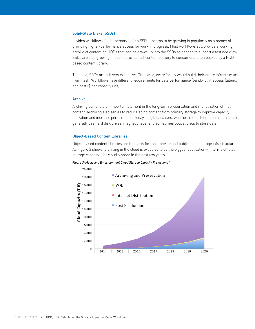### Solid-State Disks (SSDs)

In video workflows, flash memory—often SSDs—seems to be growing in popularity as a means of providing higher-performance access for work in progress. Most workflows still provide a working archive of content on HDDs that can be drawn up into the SSDs as needed to support a fast workflow. SSDs are also growing in use to provide fast content delivery to consumers, often backed by a HDDbased content library.

That said, SSDs are still very expensive. Otherwise, every facility would build their entire infrastructure from flash. Workflows have different requirements for data performance (bandwidth), access (latency), and cost (\$ per capacity unit).

### Archive

Archiving content is an important element in the long-term preservation and monetization of that content. Archiving also serves to reduce aging content from primary storage to improve capacity utilization and increase performance. Today's digital archives, whether in the cloud or in a data center, generally use hard disk drives, magnetic tape, and sometimes optical discs to store data.

#### Object-Based Content Libraries

Object-based content libraries are the basis for most private and public cloud storage infrastructures. As Figure 3 shows, archiving in the cloud is expected to be the biggest application—in terms of total storage capacity—for cloud storage in the next few years.



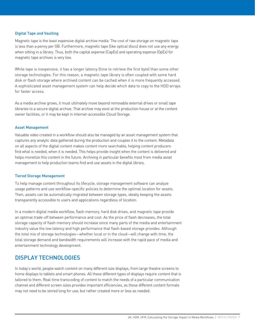### Digital Tape and Vaulting

Magnetic tape is the least expensive digital archive media. The cost of raw storage on magnetic tape is less than a penny per GB. Furthermore, magnetic tape (like optical discs) does not use any energy when sitting in a library. Thus, both the capital expense (CapEx) and operating expense (OpEx) for magnetic tape archives is very low.

While tape is inexpensive, it has a longer latency (time to retrieve the first byte) than some other storage technologies. For this reason, a magnetic tape library is often coupled with some hard disk or flash storage where archived content can be cached when it is more frequently accessed. A sophisticated asset management system can help decide which data to copy to the HDD arrays for faster access.

As a media archive grows, it must ultimately move beyond removable external drives or small tape libraries to a secure digital archive. That archive may exist at the production house or at the content owner facilities, or it may be kept in Internet-accessible Cloud Storage.

#### Asset Management

Valuable video created in a workflow should also be managed by an asset management system that captures any analytic data gathered during the production and couples it to the content. Metadata on all aspects of the digital content makes content more searchable, helping content producers find what is needed, when it is needed. This helps provide insight when the content is delivered and helps monetize this content in the future. Archiving in particular benefits most from media asset management to help production teams find and use assets in the digital library.

#### Tiered Storage Management

To help manage content throughout its lifecycle, storage management software can analyze usage patterns and use workflow-specific policies to determine the optimal location for assets. Then, assets can be automatically migrated between storage types, ideally keeping the assets transparently accessible to users and applications regardless of location.

In a modern digital media workflow, flash memory, hard disk drives, and magnetic tape provide an optimal trade-off between performance and cost. As the price of flash decreases, the total storage capacity of flash memory should increase since many parts of the media and entertainment industry value the low latency and high performance that flash-based storage provides. Although the total mix of storage technologies—whether local or in the cloud—will change with time, the total storage demand and bandwidth requirements will increase with the rapid pace of media and entertainment technology development.

## DISPLAY TECHNOLOGIES

In today's world, people watch content on many different size displays, from large theatre screens to home displays to tablets and smart phones. All these different types of displays require content that is tailored to them. Real-time transcoding of content to match the needs of a particular communication channel and different screen sizes provides important efficiencies, as these different content formats may not need to be stored long for use, but rather created more or less as needed.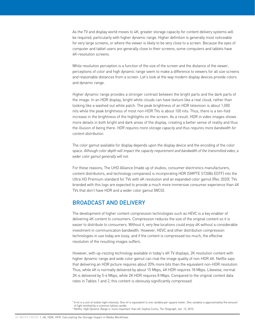As the TV and display world moves to 4K, greater storage capacity for content delivery systems will be required, particularly with higher dynamic range. Higher definition is generally most noticeable for very large screens, or where the viewer is likely to be very close to a screen. Because the eyes of computer and tablet users are generally close to their screens, some computers and tablets have 4K-resolution screens.

While resolution perception is a function of the size of the screen and the distance of the viewer, perceptions of color and high dynamic range seem to make a difference to viewers for all size screens and reasonable distances from a screen. Let's look at the way modern display devices provide colors and dynamic range.

Higher dynamic range provides a stronger contrast between the bright parts and the dark parts of the image. In an HDR display, bright white clouds can have texture like a real cloud, rather than looking like a washed out white patch. The peak brightness of an HDR television is about 1,000 nits while the peak brightness of most non-HDR TVs is about 100 nits. Thus, there is a ten-fold increase in the brightness of the highlights on the screen. As a result, HDR in video images shows more details in both bright and dark areas of the display, creating a better sense of reality and thus the illusion of being there. *HDR requires more storage capacity and thus requires more bandwidth for content distribution.*

The color gamut available for display depends upon the display device and the encoding of the color space. *Although color depth will impact the capacity requirement and bandwidth of the transmitted video, a wider color gamut generally will not.*

For these reasons, The UHD Alliance (made up of studios, consumer electronics manufacturers, content distributors, and technology companies) is incorporating HDR (SMPTE ST2084 EOTF) into the Ultra HD Premium standard for TVs with 4K resolution and an expanded color gamut (Rec 2020). TVs branded with this logo are expected to provide a much more immersive consumer experience than 4K TVs that don't have HDR and a wider color gamut (WCG).

## BROADCAST AND DELIVERY

The development of higher content compression technologies such as HEVC is a key enabler of delivering 4K content to consumers. Compression reduces the size of the original content so it is easier to distribute to consumers. Without it, very few locations could enjoy 4K without a considerable investment in communication bandwidth. However, HEVC and other distribution compression technologies in use today are lossy, and if the content is compressed too much, the effective resolution of the resulting images suffers.

However, with up-rezzing technology available in today's 4K TV displays, 2K resolution content with higher dynamic range and wide color gamut can rival the image quality of non-HDR 4K. Netflix says that delivering an HDR picture requires about 20% more bits than the equivalent non-HDR resolution. Thus, while 4K is normally delivered by about 15 Mbps, 4K HDR requires 18 Mbps. Likewise, normal 2K is delivered by 5-6 Mbps, while 2K HDR requires 8 Mbps. Compared to the original content data rates in Tables 1 and 2, this content is obviously significantly compressed.

<sup>&</sup>lt;sup>3</sup> A nit is a unit of visible-light intensity. One nit is equivalent to one candela per square meter. One candela is approximately the amount of light emitted by a common tallow candle.

<sup>4</sup> Netflix: *High Dynamic Range is 'more important' than 4K,* Sophia Curtis, *The Telegraph,* Jan. 12, 2015.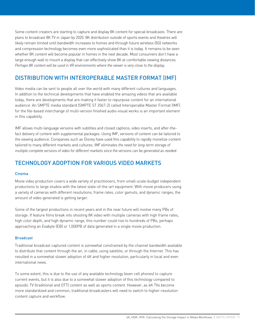Some content creators are starting to capture and display 8K content for special broadcasts. There are plans to broadcast 8K TV in Japan by 2020. 8K distribution outside of sports events and theatres will likely remain limited until bandwidth increases to homes and through future wireless (5G) networks and compression technology becomes even more sophisticated than it is today. It remains to be seen whether 8K content will become popular in homes in the next decade. Most consumers don't have a large enough wall to mount a display that can effectively show 8K at comfortable viewing distances. *Perhaps 8K content will be used in VR environments where the viewer is very close to the display.*

# DISTRIBUTION WITH INTEROPERABLE MASTER FORMAT (IMF)

Video media can be sent to people all over the world with many different cultures and languages. In addition to the technical developments that have enabled the amazing videos that are available today, there are developments that are making it faster to repurpose content for an international audience. An SMPTE media standard (SMPTE ST 2067-2) called Interoperable Master Format (IMF) for the file-based interchange of multi-version finished audio-visual works is an important element in this capability.

IMF allows multi-language versions with subtitles and closed captions, video inserts, and after-thefact delivery of content with supplemental packages. Using IMF, versions of content can be tailored to the viewing audience. Companies such as Disney have used this capability to rapidly monetize content tailored to many different markets and cultures. *IMF eliminates the need for long-term storage of multiple complete versions of video for different markets since the versions can be generated as needed.*

# TECHNOLOGY ADOPTION FOR VARIOUS VIDEO MARKETS

## Cinema

Movie video production covers a wide variety of practitioners, from small-scale-budget independent productions to large studios with the latest state-of-the-art equipment. With movie producers using a variety of cameras with different resolutions, frame rates, color gamuts, and dynamic ranges, the amount of video generated is getting larger.

Some of the largest productions in recent years and in the near future will involve many PBs of storage. If feature films break into shooting 8K video with multiple cameras with high frame rates, high color depth, and high dynamic range, this number could rise to hundreds of PBs, perhaps approaching an Exabyte (EB) or 1,000PB of data generated in a single movie production.

## Broadcast

Traditional broadcast captured content is somewhat constrained by the channel bandwidth available to distribute that content through the air, in cable, using satellite, or through the Internet. This has resulted in a somewhat slower adoption of 4K and higher resolution, particularly in local and even international news.

To some extent, this is due to the use of any available technology (even cell phones) to capture current events, but it is also due to a somewhat slower adoption of this technology compared to episodic TV (traditional and OTT) content as well as sports content. However, as 4K TVs become more standardized and common, traditional broadcasters will need to switch to higher-resolution content capture and workflow.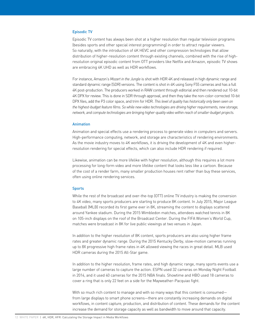## Episodic TV

Episodic TV content has always been shot at a higher resolution than regular television programs (besides sports and other special interest programming) in order to attract regular viewers. So naturally, with the introduction of 4K HEVC and other compression technologies that allow distribution of higher-resolution content through existing channels, combined with the rise of highresolution original episodic content from OTT providers like Netflix and Amazon, episodic TV shows are embracing 4K UHD as well as HDR workflows.

For instance, Amazon's *Mozart in the Jungle* is shot with HDR 4K and released in high dynamic range and standard dynamic range (SDR) versions. The content is shot in 4K using Sony F55 cameras and has a full 4K post-production. The producers worked in RAW content through editorial and then rendered out 10-bit 4K DPX for review. This is done in SDR through approval, and then they take the non-color-corrected 10-bit DPX files, add the P3 color space, and trim for HDR. *This level of quality has historically only been seen on the highest-budget feature films. So while new video technologies are driving higher requirements, new storage, network, and compute technologies are bringing higher-quality video within reach of smaller-budget projects.*

#### Animation

Animation and special effects use a rendering process to generate video in computers and servers. High-performance computing, network, and storage are characteristics of rendering environments. As the movie industry moves to 4K workflows, it is driving the development of 4K and even higherresolution rendering for special effects, which can also include HDR rendering if required.

Likewise, animation can be more lifelike with higher resolution, although this requires a lot more processing for long-form video and more lifelike content that looks less like a cartoon. Because of the cost of a render farm, many smaller production houses rent rather than buy these services, often using online rendering services.

#### **Sports**

While the rest of the broadcast and over-the-top (OTT) online TV industry is making the conversion to 4K video, many sports producers are starting to produce 8K content. In July 2015, Major League Baseball (MLB) recorded its first game ever in 8K, streaming the content to displays scattered around Yankee stadium. During the 2015 Wimbledon matches, attendees watched tennis in 8K on 105-inch displays on the roof of the Broadcast Center. During the FIFA Women's World Cup, matches were broadcast in 8K for live public viewings at two venues in Japan.

In addition to the higher resolution of 8K content, sports producers are also using higher frame rates and greater dynamic range. During the 2015 Kentucky Derby, slow-motion cameras running up to 8X progressive high frame rates in 4K allowed viewing the races in great detail. MLB used HDR cameras during the 2015 All-Star game.

In addition to the higher resolution, frame rates, and high dynamic range, many sports events use a large number of cameras to capture the action. ESPN used 32 cameras on Monday Night Football in 2014, and it used 40 cameras for the 2015 NBA finals. Showtime and HBO used 18 cameras to cover a ring that is only 22 feet on a side for the Mayweather-Pacquiao fight.

With so much rich content to manage and with so many ways that this content is consumed from large displays to smart phone screens—there are constantly increasing demands on digital workflows, in content capture, production, and distribution of content. These demands for the content increase the demand for storage capacity as well as bandwidth to move around that capacity.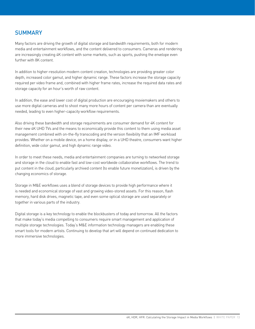# **SUMMARY**

Many factors are driving the growth of digital storage and bandwidth requirements, both for modern media and entertainment workflows, and the content delivered to consumers. Cameras and rendering are increasingly creating 4K content with some markets, such as sports, pushing the envelope even further with 8K content.

In addition to higher-resolution modern content creation, technologies are providing greater color depth, increased color gamut, and higher dynamic range. These factors increase the storage capacity required per video frame and, combined with higher frame rates, increase the required data rates and storage capacity for an hour's worth of raw content.

In addition, the ease and lower cost of digital production are encouraging moviemakers and others to use more digital cameras and to shoot many more hours of content per camera than are eventually needed, leading to even higher-capacity workflow requirements.

Also driving these bandwidth and storage requirements are consumer demand for 4K content for their new 4K UHD TVs and the means to economically provide this content to them using media asset management combined with on-the-fly transcoding and the version flexibility that an IMF workload provides. Whether on a mobile device, on a home display, or in a UHD theatre, consumers want higher definition, wide color gamut, and high dynamic range video.

In order to meet these needs, media and entertainment companies are turning to networked storage and storage in the cloud to enable fast and low-cost worldwide collaborative workflows. The trend to put content in the cloud, particularly archived content (to enable future monetization), is driven by the changing economics of storage.

Storage in M&E workflows uses a blend of storage devices to provide high performance where it is needed and economical storage of vast and growing video-stored assets. For this reason, flash memory, hard disk drives, magnetic tape, and even some optical storage are used separately or together in various parts of the industry.

Digital storage is a key technology to enable the blockbusters of today and tomorrow. All the factors that make today's media compelling to consumers require smart management and application of multiple storage technologies. Today's M&E information technology managers are enabling these smart tools for modern artists. Continuing to develop that art will depend on continued dedication to more immersive technologies.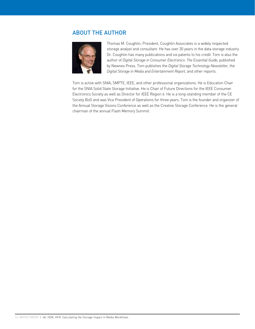# ABOUT THE AUTHOR



Thomas M. Coughlin, President, Coughlin Associates is a widely respected storage analyst and consultant. He has over 30 years in the data storage industry. Dr. Coughlin has many publications and six patents to his credit. Tom is also the author of *Digital Storage in Consumer Electronics: The Essential Guide,* published by Newnes Press. Tom publishes the *Digital Storage Technology Newsletter,* the *Digital Storage in Media and Entertainment Report,* and other reports.

Tom is active with SNIA, SMPTE, IEEE, and other professional organizations. He is Education Chair for the SNIA Solid State Storage Initiative. He is Chair of Future Directions for the IEEE Consumer Electronics Society as well as Director for IEEE Region 6. He is a long-standing member of the CE Society BoG and was Vice President of Operations for three years. Tom is the founder and organizer of the Annual Storage Visions Conference as well as the Creative Storage Conference. He is the general chairman of the annual Flash Memory Summit.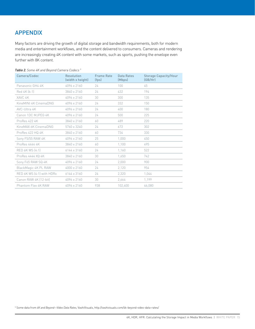# APPENDIX

Many factors are driving the growth of digital storage and bandwidth requirements, both for modern media and entertainment workflows, and the content delivered to consumers. Cameras and rendering are increasingly creating 4K content with some markets, such as sports, pushing the envelope even further with 8K content.

| Camera/Codec              | Resolution<br>(width x height) | <b>Frame Rate</b><br>(fps) | Data Rates<br>(Mbps) | <b>Storage Capacity/Hour</b><br>(GB/Hr) |
|---------------------------|--------------------------------|----------------------------|----------------------|-----------------------------------------|
| Panasonic GH4 4K          | 4096 x 2160                    | 24                         | 100                  | 45                                      |
| Red 4K [6:1]              | 3840 x 2160                    | 24                         | 432                  | 194                                     |
| XAVC 4K                   | 4096 x 2160                    | 30                         | 300                  | 135                                     |
| KineMINI 4K CinemaDNG     | 4096 x 2160                    | 24                         | 332                  | 150                                     |
| AVC-Ultra 4K              | 4096 x 2160                    | 24                         | 400                  | 180                                     |
| Canon 1DC MJPEG 4K        | 4096 x 2160                    | 24                         | 500                  | 225                                     |
| ProRes 422 4K             | 3840 x 2160                    | 60                         | 489                  | 220                                     |
| KineMAX 6K CinemaDNG      | 5760 x 3240                    | 24                         | 672                  | 302                                     |
| ProRes 422 HQ 4K          | 3840 x 2160                    | 60                         | 734                  | 330                                     |
| Sony F5/55 RAW 4K         | 4096 x 2160                    | 25                         | 1.000                | 450                                     |
| ProRes 4444 4K            | 3840 x 2160                    | 60                         | 1.100                | 495                                     |
| RED 6K WS [4:1]           | 6144 x 3160                    | 24                         | 1,160                | 522                                     |
| ProRes 4444 XQ 4K         | 3840 x 2160                    | 30                         | 1,650                | 742                                     |
| Sony F65 RAW SQ 4K        | 4096 x 2160                    | 24                         | 2,000                | 900                                     |
| BlackMagic 4K PL RAW      | 4000 x 2160                    | 24                         | 2,120                | 954                                     |
| RED 6K WS [4:1] with HDRx | 6144 x 3160                    | 24                         | 2.320                | 1.044                                   |
| Canon RAW 4K [12-bit]     | 4096 x 2160                    | 30                         | 2,664                | 1,199                                   |
| Phantom Flex 4K RAW       | 4096 x 2160                    | 938                        | 102,400              | 46,080                                  |

## *Table 2. Some 4K and Beyond Camera Codecs 5*

5 Some data from *4K and Beyond—Video Data Rates,* VashiVisuals, http://vashivisuals.com/4k-beyond-video-data-rates/